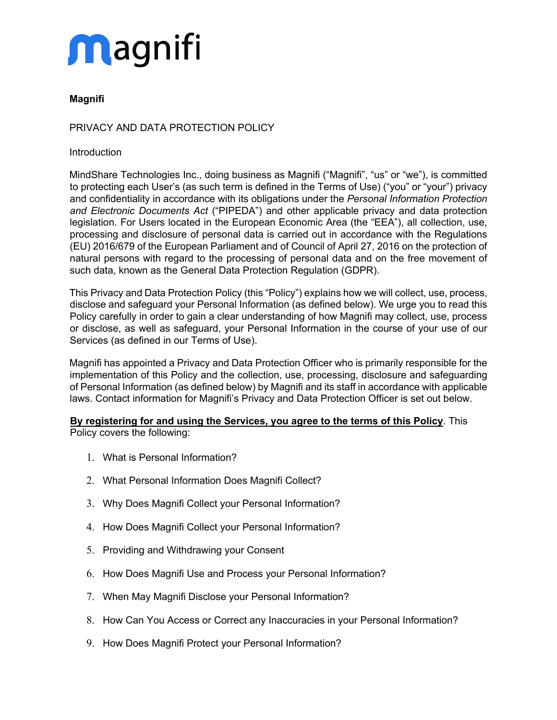

### PRIVACY AND DATA PROTECTION POLICY

#### **Introduction**

MindShare Technologies Inc., doing business as Magnifi ("Magnifi", "us" or "we"), is committed to protecting each User's (as such term is defined in the Terms of Use) ("you" or "your") privacy and confidentiality in accordance with its obligations under the *Personal Information Protection and Electronic Documents Act* ("PIPEDA") and other applicable privacy and data protection legislation. For Users located in the European Economic Area (the "EEA"), all collection, use, processing and disclosure of personal data is carried out in accordance with the Regulations (EU) 2016/679 of the European Parliament and of Council of April 27, 2016 on the protection of natural persons with regard to the processing of personal data and on the free movement of such data, known as the General Data Protection Regulation (GDPR).

This Privacy and Data Protection Policy (this "Policy") explains how we will collect, use, process, disclose and safeguard your Personal Information (as defined below). We urge you to read this Policy carefully in order to gain a clear understanding of how Magnifi may collect, use, process or disclose, as well as safeguard, your Personal Information in the course of your use of our Services (as defined in our Terms of Use).

Magnifi has appointed a Privacy and Data Protection Officer who is primarily responsible for the implementation of this Policy and the collection, use, processing, disclosure and safeguarding of Personal Information (as defined below) by Magnifi and its staff in accordance with applicable laws. Contact information for Magnifi's Privacy and Data Protection Officer is set out below.

## **By registering for and using the Services, you agree to the terms of this Policy**. This

Policy covers the following:

- 1. What is Personal Information?
- 2. What Personal Information Does Magnifi Collect?
- 3. Why Does Magnifi Collect your Personal Information?
- 4. How Does Magnifi Collect your Personal Information?
- 5. Providing and Withdrawing your Consent
- 6. How Does Magnifi Use and Process your Personal Information?
- 7. When May Magnifi Disclose your Personal Information?
- 8. How Can You Access or Correct any Inaccuracies in your Personal Information?
- 9. How Does Magnifi Protect your Personal Information?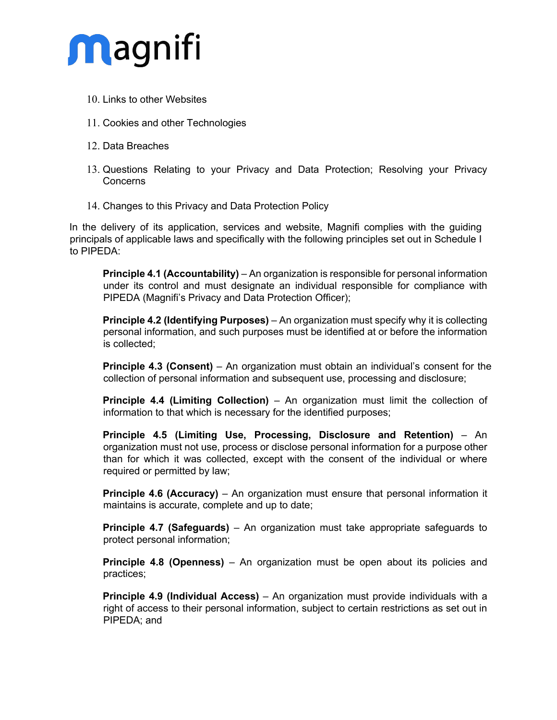

- 10. Links to other Websites
- 11. Cookies and other Technologies
- 12. Data Breaches
- 13. Questions Relating to your Privacy and Data Protection; Resolving your Privacy **Concerns**
- 14. Changes to this Privacy and Data Protection Policy

In the delivery of its application, services and website, Magnifi complies with the guiding principals of applicable laws and specifically with the following principles set out in Schedule I to PIPEDA:

**Principle 4.1 (Accountability)** – An organization is responsible for personal information under its control and must designate an individual responsible for compliance with PIPEDA (Magnifi's Privacy and Data Protection Officer);

**Principle 4.2 (Identifying Purposes)** – An organization must specify why it is collecting personal information, and such purposes must be identified at or before the information is collected;

**Principle 4.3 (Consent)** – An organization must obtain an individual's consent for the collection of personal information and subsequent use, processing and disclosure;

**Principle 4.4 (Limiting Collection)** – An organization must limit the collection of information to that which is necessary for the identified purposes;

**Principle 4.5 (Limiting Use, Processing, Disclosure and Retention)** – An organization must not use, process or disclose personal information for a purpose other than for which it was collected, except with the consent of the individual or where required or permitted by law;

**Principle 4.6 (Accuracy)** – An organization must ensure that personal information it maintains is accurate, complete and up to date;

**Principle 4.7 (Safeguards)** – An organization must take appropriate safeguards to protect personal information;

**Principle 4.8 (Openness)** – An organization must be open about its policies and practices;

**Principle 4.9 (Individual Access)** – An organization must provide individuals with a right of access to their personal information, subject to certain restrictions as set out in PIPEDA; and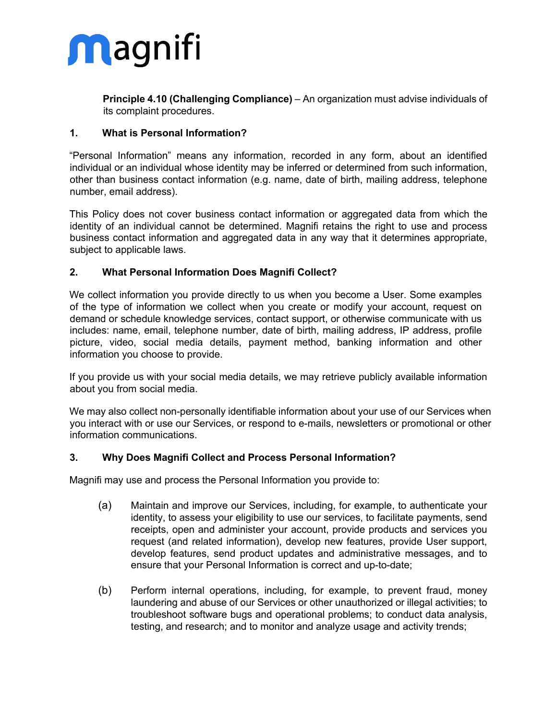

**Principle 4.10 (Challenging Compliance)** – An organization must advise individuals of its complaint procedures.

### **1. What is Personal Information?**

"Personal Information" means any information, recorded in any form, about an identified individual or an individual whose identity may be inferred or determined from such information, other than business contact information (e.g. name, date of birth, mailing address, telephone number, email address).

This Policy does not cover business contact information or aggregated data from which the identity of an individual cannot be determined. Magnifi retains the right to use and process business contact information and aggregated data in any way that it determines appropriate, subject to applicable laws.

### **2. What Personal Information Does Magnifi Collect?**

We collect information you provide directly to us when you become a User. Some examples of the type of information we collect when you create or modify your account, request on demand or schedule knowledge services, contact support, or otherwise communicate with us includes: name, email, telephone number, date of birth, mailing address, IP address, profile picture, video, social media details, payment method, banking information and other information you choose to provide.

If you provide us with your social media details, we may retrieve publicly available information about you from social media.

We may also collect non-personally identifiable information about your use of our Services when you interact with or use our Services, or respond to e-mails, newsletters or promotional or other information communications.

### **3. Why Does Magnifi Collect and Process Personal Information?**

Magnifi may use and process the Personal Information you provide to:

- (a) Maintain and improve our Services, including, for example, to authenticate your identity, to assess your eligibility to use our services, to facilitate payments, send receipts, open and administer your account, provide products and services you request (and related information), develop new features, provide User support, develop features, send product updates and administrative messages, and to ensure that your Personal Information is correct and up-to-date;
- (b) Perform internal operations, including, for example, to prevent fraud, money laundering and abuse of our Services or other unauthorized or illegal activities; to troubleshoot software bugs and operational problems; to conduct data analysis, testing, and research; and to monitor and analyze usage and activity trends;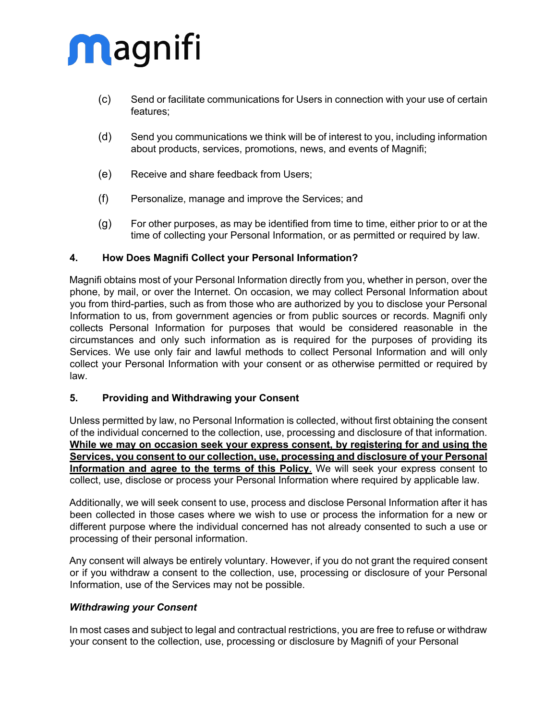- (c) Send or facilitate communications for Users in connection with your use of certain features;
- (d) Send you communications we think will be of interest to you, including information about products, services, promotions, news, and events of Magnifi;
- (e) Receive and share feedback from Users;
- (f) Personalize, manage and improve the Services; and
- (g) For other purposes, as may be identified from time to time, either prior to or at the time of collecting your Personal Information, or as permitted or required by law.

### **4. How Does Magnifi Collect your Personal Information?**

Magnifi obtains most of your Personal Information directly from you, whether in person, over the phone, by mail, or over the Internet. On occasion, we may collect Personal Information about you from third-parties, such as from those who are authorized by you to disclose your Personal Information to us, from government agencies or from public sources or records. Magnifi only collects Personal Information for purposes that would be considered reasonable in the circumstances and only such information as is required for the purposes of providing its Services. We use only fair and lawful methods to collect Personal Information and will only collect your Personal Information with your consent or as otherwise permitted or required by law.

### **5. Providing and Withdrawing your Consent**

Unless permitted by law, no Personal Information is collected, without first obtaining the consent of the individual concerned to the collection, use, processing and disclosure of that information. **While we may on occasion seek your express consent, by registering for and using the Services, you consent to our collection, use, processing and disclosure of your Personal Information and agree to the terms of this Policy**. We will seek your express consent to collect, use, disclose or process your Personal Information where required by applicable law.

Additionally, we will seek consent to use, process and disclose Personal Information after it has been collected in those cases where we wish to use or process the information for a new or different purpose where the individual concerned has not already consented to such a use or processing of their personal information.

Any consent will always be entirely voluntary. However, if you do not grant the required consent or if you withdraw a consent to the collection, use, processing or disclosure of your Personal Information, use of the Services may not be possible.

### *Withdrawing your Consent*

In most cases and subject to legal and contractual restrictions, you are free to refuse or withdraw your consent to the collection, use, processing or disclosure by Magnifi of your Personal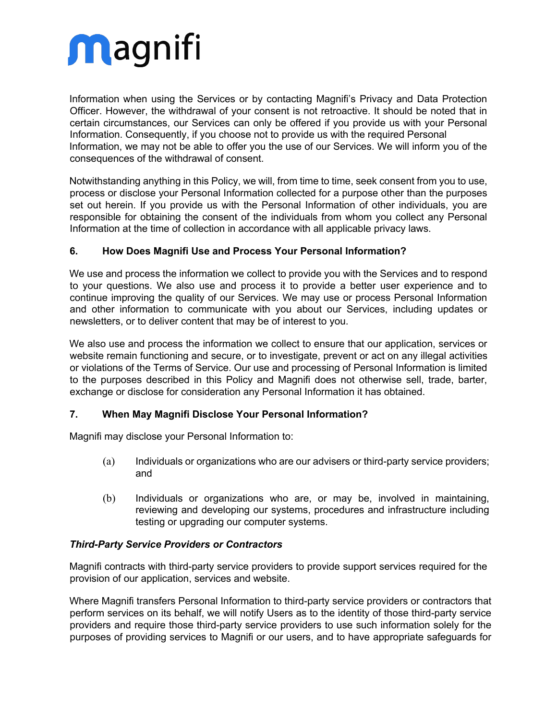Information when using the Services or by contacting Magnifi's Privacy and Data Protection Officer. However, the withdrawal of your consent is not retroactive. It should be noted that in certain circumstances, our Services can only be offered if you provide us with your Personal Information. Consequently, if you choose not to provide us with the required Personal Information, we may not be able to offer you the use of our Services. We will inform you of the consequences of the withdrawal of consent.

Notwithstanding anything in this Policy, we will, from time to time, seek consent from you to use, process or disclose your Personal Information collected for a purpose other than the purposes set out herein. If you provide us with the Personal Information of other individuals, you are responsible for obtaining the consent of the individuals from whom you collect any Personal Information at the time of collection in accordance with all applicable privacy laws.

## **6. How Does Magnifi Use and Process Your Personal Information?**

We use and process the information we collect to provide you with the Services and to respond to your questions. We also use and process it to provide a better user experience and to continue improving the quality of our Services. We may use or process Personal Information and other information to communicate with you about our Services, including updates or newsletters, or to deliver content that may be of interest to you.

We also use and process the information we collect to ensure that our application, services or website remain functioning and secure, or to investigate, prevent or act on any illegal activities or violations of the Terms of Service. Our use and processing of Personal Information is limited to the purposes described in this Policy and Magnifi does not otherwise sell, trade, barter, exchange or disclose for consideration any Personal Information it has obtained.

## **7. When May Magnifi Disclose Your Personal Information?**

Magnifi may disclose your Personal Information to:

- (a) Individuals or organizations who are our advisers or third-party service providers; and
- (b) Individuals or organizations who are, or may be, involved in maintaining, reviewing and developing our systems, procedures and infrastructure including testing or upgrading our computer systems.

### *Third-Party Service Providers or Contractors*

Magnifi contracts with third-party service providers to provide support services required for the provision of our application, services and website.

Where Magnifi transfers Personal Information to third-party service providers or contractors that perform services on its behalf, we will notify Users as to the identity of those third-party service providers and require those third-party service providers to use such information solely for the purposes of providing services to Magnifi or our users, and to have appropriate safeguards for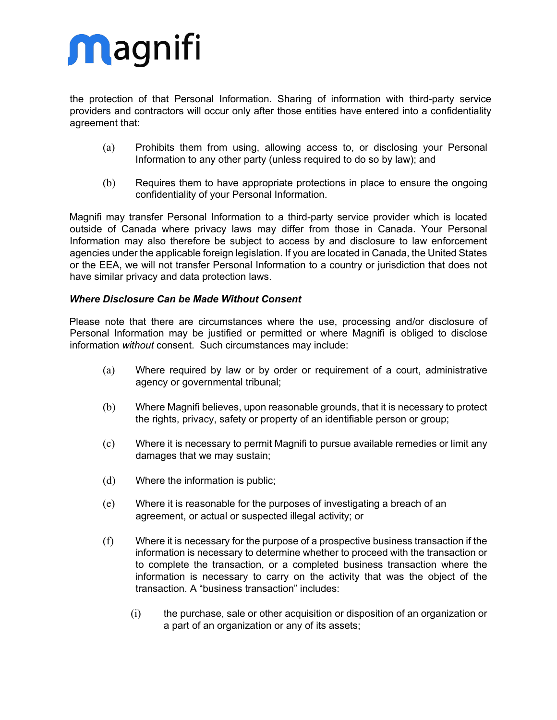the protection of that Personal Information. Sharing of information with third-party service providers and contractors will occur only after those entities have entered into a confidentiality agreement that:

- (a) Prohibits them from using, allowing access to, or disclosing your Personal Information to any other party (unless required to do so by law); and
- (b) Requires them to have appropriate protections in place to ensure the ongoing confidentiality of your Personal Information.

Magnifi may transfer Personal Information to a third-party service provider which is located outside of Canada where privacy laws may differ from those in Canada. Your Personal Information may also therefore be subject to access by and disclosure to law enforcement agencies under the applicable foreign legislation. If you are located in Canada, the United States or the EEA, we will not transfer Personal Information to a country or jurisdiction that does not have similar privacy and data protection laws.

### *Where Disclosure Can be Made Without Consent*

Please note that there are circumstances where the use, processing and/or disclosure of Personal Information may be justified or permitted or where Magnifi is obliged to disclose information *without* consent. Such circumstances may include:

- (a) Where required by law or by order or requirement of a court, administrative agency or governmental tribunal;
- (b) Where Magnifi believes, upon reasonable grounds, that it is necessary to protect the rights, privacy, safety or property of an identifiable person or group;
- (c) Where it is necessary to permit Magnifi to pursue available remedies or limit any damages that we may sustain;
- (d) Where the information is public;
- (e) Where it is reasonable for the purposes of investigating a breach of an agreement, or actual or suspected illegal activity; or
- (f) Where it is necessary for the purpose of a prospective business transaction if the information is necessary to determine whether to proceed with the transaction or to complete the transaction, or a completed business transaction where the information is necessary to carry on the activity that was the object of the transaction. A "business transaction" includes:
	- (i) the purchase, sale or other acquisition or disposition of an organization or a part of an organization or any of its assets;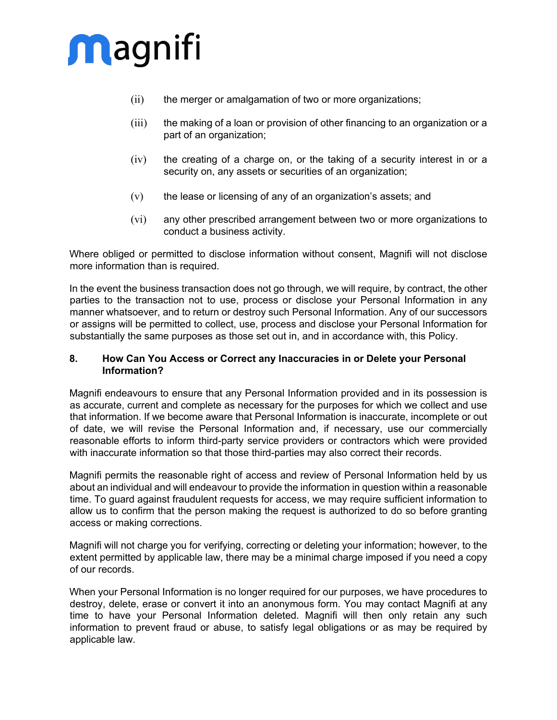

- (ii) the merger or amalgamation of two or more organizations;
- (iii) the making of a loan or provision of other financing to an organization or a part of an organization;
- (iv) the creating of a charge on, or the taking of a security interest in or a security on, any assets or securities of an organization;
- (v) the lease or licensing of any of an organization's assets; and
- (vi) any other prescribed arrangement between two or more organizations to conduct a business activity.

Where obliged or permitted to disclose information without consent, Magnifi will not disclose more information than is required.

In the event the business transaction does not go through, we will require, by contract, the other parties to the transaction not to use, process or disclose your Personal Information in any manner whatsoever, and to return or destroy such Personal Information. Any of our successors or assigns will be permitted to collect, use, process and disclose your Personal Information for substantially the same purposes as those set out in, and in accordance with, this Policy.

### **8. How Can You Access or Correct any Inaccuracies in or Delete your Personal Information?**

Magnifi endeavours to ensure that any Personal Information provided and in its possession is as accurate, current and complete as necessary for the purposes for which we collect and use that information. If we become aware that Personal Information is inaccurate, incomplete or out of date, we will revise the Personal Information and, if necessary, use our commercially reasonable efforts to inform third-party service providers or contractors which were provided with inaccurate information so that those third-parties may also correct their records.

Magnifi permits the reasonable right of access and review of Personal Information held by us about an individual and will endeavour to provide the information in question within a reasonable time. To guard against fraudulent requests for access, we may require sufficient information to allow us to confirm that the person making the request is authorized to do so before granting access or making corrections.

Magnifi will not charge you for verifying, correcting or deleting your information; however, to the extent permitted by applicable law, there may be a minimal charge imposed if you need a copy of our records.

When your Personal Information is no longer required for our purposes, we have procedures to destroy, delete, erase or convert it into an anonymous form. You may contact Magnifi at any time to have your Personal Information deleted. Magnifi will then only retain any such information to prevent fraud or abuse, to satisfy legal obligations or as may be required by applicable law.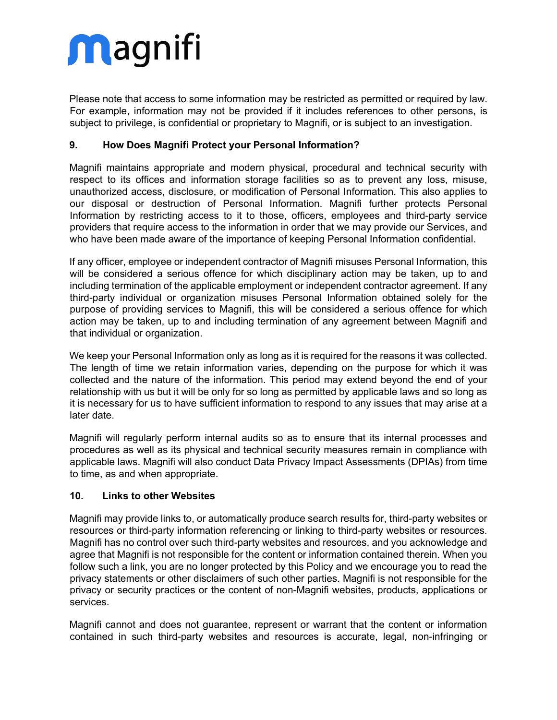Please note that access to some information may be restricted as permitted or required by law. For example, information may not be provided if it includes references to other persons, is subject to privilege, is confidential or proprietary to Magnifi, or is subject to an investigation.

## **9. How Does Magnifi Protect your Personal Information?**

Magnifi maintains appropriate and modern physical, procedural and technical security with respect to its offices and information storage facilities so as to prevent any loss, misuse, unauthorized access, disclosure, or modification of Personal Information. This also applies to our disposal or destruction of Personal Information. Magnifi further protects Personal Information by restricting access to it to those, officers, employees and third-party service providers that require access to the information in order that we may provide our Services, and who have been made aware of the importance of keeping Personal Information confidential.

If any officer, employee or independent contractor of Magnifi misuses Personal Information, this will be considered a serious offence for which disciplinary action may be taken, up to and including termination of the applicable employment or independent contractor agreement. If any third-party individual or organization misuses Personal Information obtained solely for the purpose of providing services to Magnifi, this will be considered a serious offence for which action may be taken, up to and including termination of any agreement between Magnifi and that individual or organization.

We keep your Personal Information only as long as it is required for the reasons it was collected. The length of time we retain information varies, depending on the purpose for which it was collected and the nature of the information. This period may extend beyond the end of your relationship with us but it will be only for so long as permitted by applicable laws and so long as it is necessary for us to have sufficient information to respond to any issues that may arise at a later date.

Magnifi will regularly perform internal audits so as to ensure that its internal processes and procedures as well as its physical and technical security measures remain in compliance with applicable laws. Magnifi will also conduct Data Privacy Impact Assessments (DPIAs) from time to time, as and when appropriate.

## **10. Links to other Websites**

Magnifi may provide links to, or automatically produce search results for, third-party websites or resources or third-party information referencing or linking to third-party websites or resources. Magnifi has no control over such third-party websites and resources, and you acknowledge and agree that Magnifi is not responsible for the content or information contained therein. When you follow such a link, you are no longer protected by this Policy and we encourage you to read the privacy statements or other disclaimers of such other parties. Magnifi is not responsible for the privacy or security practices or the content of non-Magnifi websites, products, applications or services.

Magnifi cannot and does not guarantee, represent or warrant that the content or information contained in such third-party websites and resources is accurate, legal, non-infringing or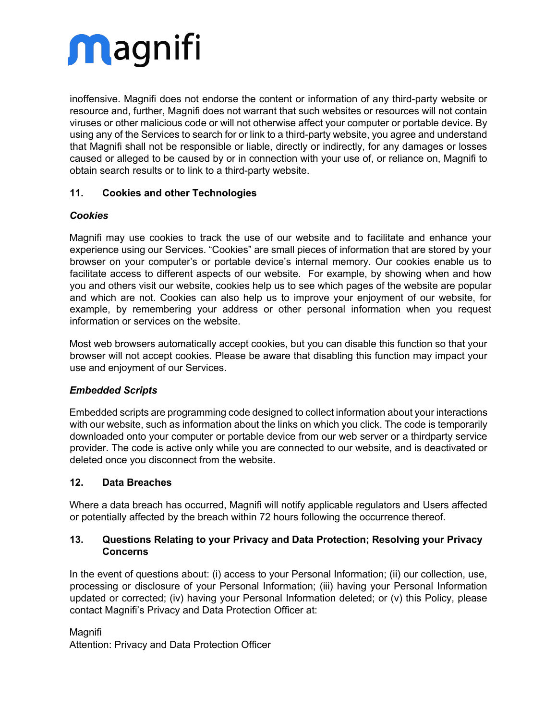inoffensive. Magnifi does not endorse the content or information of any third-party website or resource and, further, Magnifi does not warrant that such websites or resources will not contain viruses or other malicious code or will not otherwise affect your computer or portable device. By using any of the Services to search for or link to a third-party website, you agree and understand that Magnifi shall not be responsible or liable, directly or indirectly, for any damages or losses caused or alleged to be caused by or in connection with your use of, or reliance on, Magnifi to obtain search results or to link to a third-party website.

## **11. Cookies and other Technologies**

## *Cookies*

Magnifi may use cookies to track the use of our website and to facilitate and enhance your experience using our Services. "Cookies" are small pieces of information that are stored by your browser on your computer's or portable device's internal memory. Our cookies enable us to facilitate access to different aspects of our website. For example, by showing when and how you and others visit our website, cookies help us to see which pages of the website are popular and which are not. Cookies can also help us to improve your enjoyment of our website, for example, by remembering your address or other personal information when you request information or services on the website.

Most web browsers automatically accept cookies, but you can disable this function so that your browser will not accept cookies. Please be aware that disabling this function may impact your use and enjoyment of our Services.

## *Embedded Scripts*

Embedded scripts are programming code designed to collect information about your interactions with our website, such as information about the links on which you click. The code is temporarily downloaded onto your computer or portable device from our web server or a thirdparty service provider. The code is active only while you are connected to our website, and is deactivated or deleted once you disconnect from the website.

## **12. Data Breaches**

Where a data breach has occurred, Magnifi will notify applicable regulators and Users affected or potentially affected by the breach within 72 hours following the occurrence thereof.

### **13. Questions Relating to your Privacy and Data Protection; Resolving your Privacy Concerns**

In the event of questions about: (i) access to your Personal Information; (ii) our collection, use, processing or disclosure of your Personal Information; (iii) having your Personal Information updated or corrected; (iv) having your Personal Information deleted; or (v) this Policy, please contact Magnifi's Privacy and Data Protection Officer at:

### Magnifi

Attention: Privacy and Data Protection Officer